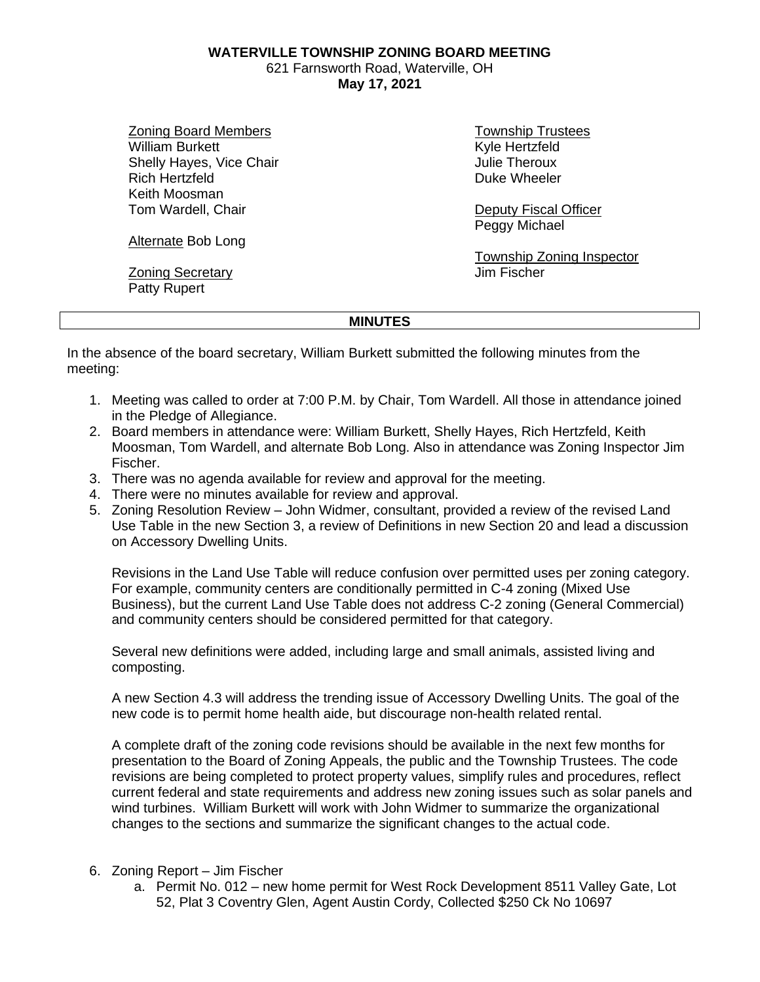**WATERVILLE TOWNSHIP ZONING BOARD MEETING**

621 Farnsworth Road, Waterville, OH **May 17, 2021**

Zoning Board Members William Burkett Shelly Hayes, Vice Chair Rich Hertzfeld Keith Moosman Tom Wardell, Chair

Alternate Bob Long

Zoning Secretary Patty Rupert

Township Trustees Kyle Hertzfeld Julie Theroux Duke Wheeler

Deputy Fiscal Officer Peggy Michael

Township Zoning Inspector Jim Fischer

## **MINUTES**

In the absence of the board secretary, William Burkett submitted the following minutes from the meeting:

- 1. Meeting was called to order at 7:00 P.M. by Chair, Tom Wardell. All those in attendance joined in the Pledge of Allegiance.
- 2. Board members in attendance were: William Burkett, Shelly Hayes, Rich Hertzfeld, Keith Moosman, Tom Wardell, and alternate Bob Long. Also in attendance was Zoning Inspector Jim Fischer.
- 3. There was no agenda available for review and approval for the meeting.
- 4. There were no minutes available for review and approval.
- 5. Zoning Resolution Review John Widmer, consultant, provided a review of the revised Land Use Table in the new Section 3, a review of Definitions in new Section 20 and lead a discussion on Accessory Dwelling Units.

Revisions in the Land Use Table will reduce confusion over permitted uses per zoning category. For example, community centers are conditionally permitted in C-4 zoning (Mixed Use Business), but the current Land Use Table does not address C-2 zoning (General Commercial) and community centers should be considered permitted for that category.

Several new definitions were added, including large and small animals, assisted living and composting.

A new Section 4.3 will address the trending issue of Accessory Dwelling Units. The goal of the new code is to permit home health aide, but discourage non-health related rental.

A complete draft of the zoning code revisions should be available in the next few months for presentation to the Board of Zoning Appeals, the public and the Township Trustees. The code revisions are being completed to protect property values, simplify rules and procedures, reflect current federal and state requirements and address new zoning issues such as solar panels and wind turbines. William Burkett will work with John Widmer to summarize the organizational changes to the sections and summarize the significant changes to the actual code.

- 6. Zoning Report Jim Fischer
	- a. Permit No. 012 new home permit for West Rock Development 8511 Valley Gate, Lot 52, Plat 3 Coventry Glen, Agent Austin Cordy, Collected \$250 Ck No 10697